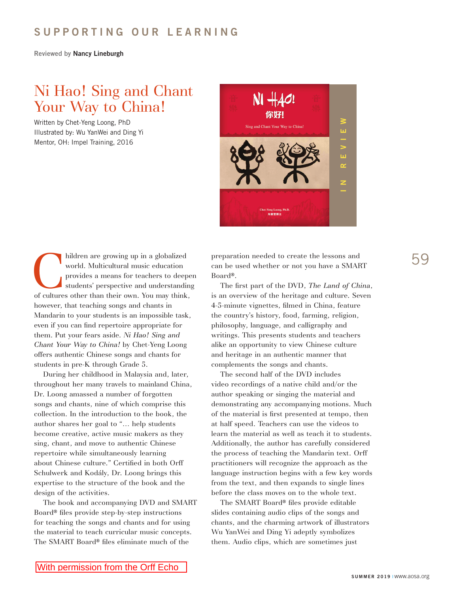## **SUPPORTING OUR LEARNING**

**Reviewed by Nancy Lineburgh**

## Ni Hao! Sing and Chant Your Way to China!

Written by Chet-Yeng Loong, PhD Illustrated by: Wu YanWei and Ding Yi Mentor, OH: Impel Training, 2016



hildren are growing up in a globalized world. Multicultural music education provides a means for teachers to deepe students' perspective and understanding of cultures other than their own. You may think, world. Multicultural music education provides a means for teachers to deepen students' perspective and understanding however, that teaching songs and chants in Mandarin to your students is an impossible task, even if you can find repertoire appropriate for them. Put your fears aside. *Ni Hao! Sing and Chant Your Way to China!* by Chet-Yeng Loong offers authentic Chinese songs and chants for students in pre-K through Grade 5.

During her childhood in Malaysia and, later, throughout her many travels to mainland China, Dr. Loong amassed a number of forgotten songs and chants, nine of which comprise this collection. In the introduction to the book, the author shares her goal to "… help students become creative, active music makers as they sing, chant, and move to authentic Chinese repertoire while simultaneously learning about Chinese culture." Certified in both Orff Schulwerk and Kodály, Dr. Loong brings this expertise to the structure of the book and the design of the activities.

The book and accompanying DVD and SMART Board® files provide step-by-step instructions for teaching the songs and chants and for using the material to teach curricular music concepts. The SMART Board® files eliminate much of the

preparation needed to create the lessons and 59 can be used whether or not you have a SMART Board®.

The first part of the DVD, *The Land of China*, is an overview of the heritage and culture. Seven 4-5-minute vignettes, filmed in China, feature the country's history, food, farming, religion, philosophy, language, and calligraphy and writings. This presents students and teachers alike an opportunity to view Chinese culture and heritage in an authentic manner that complements the songs and chants.

The second half of the DVD includes video recordings of a native child and/or the author speaking or singing the material and demonstrating any accompanying motions. Much of the material is first presented at tempo, then at half speed. Teachers can use the videos to learn the material as well as teach it to students. Additionally, the author has carefully considered the process of teaching the Mandarin text. Orff practitioners will recognize the approach as the language instruction begins with a few key words from the text, and then expands to single lines before the class moves on to the whole text.

The SMART Board® files provide editable slides containing audio clips of the songs and chants, and the charming artwork of illustrators Wu YanWei and Ding Yi adeptly symbolizes them. Audio clips, which are sometimes just